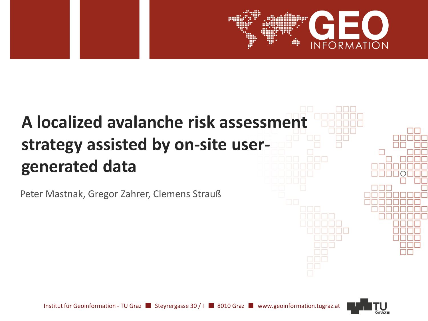# **A localized avalanche risk assessment strategy assisted by on-site usergenerated data**

Peter Mastnak, Gregor Zahrer, Clemens Strauß



**INFORMATION**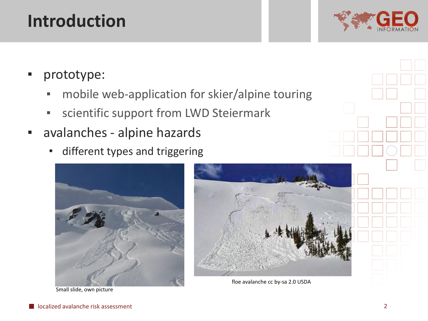### **Introduction**



- prototype:
	- mobile web-application for skier/alpine touring
	- **EXECTE:** Scientific support from LWD Steiermark
- avalanches alpine hazards
	- different types and triggering



Small slide, own picture



floe avalanche cc by-sa 2.0 USDA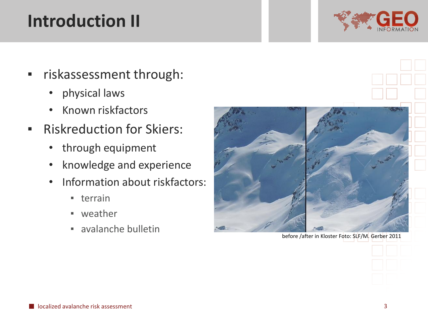## **Introduction II**



- riskassessment through:
	- physical laws
	- Known riskfactors
- **EXECUTED FOR SKIERS:** 
	- through equipment
	- knowledge and experience
	- Information about riskfactors:
		- terrain
		- weather
		- avalanche bulletin



before /after in Kloster Foto: SLF/M. Gerber 2011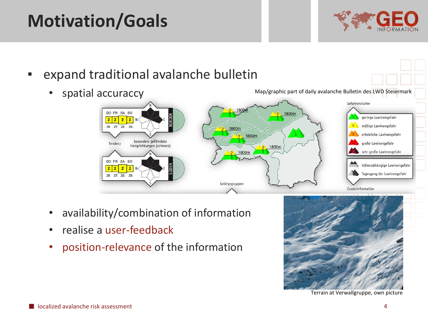# **Motivation/Goals**



- expand traditional avalanche bulletin • spatial accuraccy Map/graphic part of daily avalanche Bulletin des LWD Steiermark Gefahrenstufen DO FR SA SO geringe Lawinengefahr  $\overline{2}$  $\overline{2}$ mäßige Lawinengefahr 27. 28. erhebliche Lawinengefahr 1800m besonders gefährdete große Lawinengefahr Tendenz Hangrichtungen (schwarz) 2 1800m sehr große Lawinengefahr 1800m DO FR SA SO höhenabhängige Lawinengefahr  $2222$ Tagesgang der Lawinengefahr 27. 28. 29 Gebirgsgruppen Zusatzinformation
	- availability/combination of information
	- realise a user-feedback
	- position-relevance of the information



Terrain at Verwallgruppe, own picture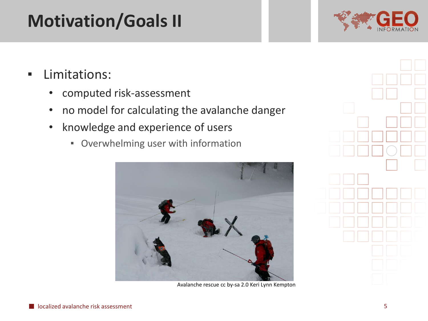# **Motivation/Goals II**



- Limitations:
	- computed risk-assessment
	- no model for calculating the avalanche danger
	- knowledge and experience of users
		- Overwhelming user with information



Avalanche rescue cc by-sa 2.0 Keri Lynn Kempton

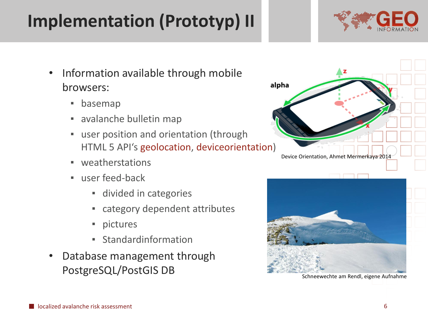#### browsers: ▪ basemap

- avalanche bulletin map
- user position and orientation (through HTML 5 API's geolocation, deviceorientation)
- weatherstations
- user feed-back
	- **E** divided in categories
	- category dependent attributes
	- pictures

localized avalanche risk assessment

- Standardinformation
- Database management through PostgreSQL/PostGIS DB

alpha

#### Device Orientation, Ahmet Mermerkaya 2014





• Information available through mobile

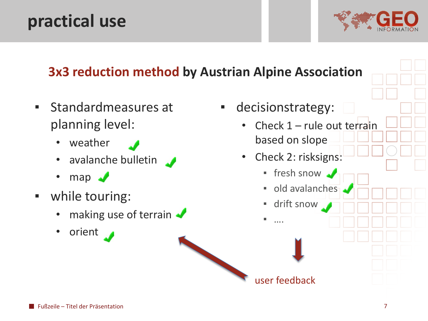### **practical use**





- Standardmeasures at planning level:
	- weather
	- avalanche bulletin
	- $map \rightarrow$
- while touring:
	- making use of terrain
	- orient

▪ decisionstrategy: Check  $1$  – rule out terrain based on slope • Check 2: risksigns: • fresh snow ▪ old avalanches ▪ drift snow

 $\ldots$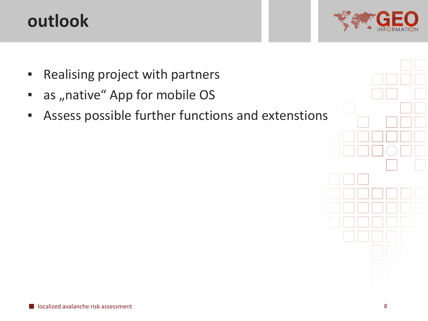## **outlook**



- Realising project with partners
- as "native" App for mobile OS
- **EXE** Assess possible further functions and extenstions